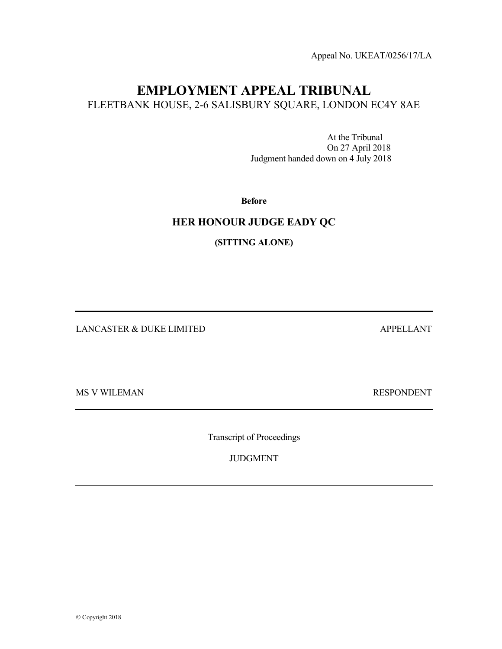Appeal No. UKEAT/0256/17/LA

## EMPLOYMENT APPEAL TRIBUNAL FLEETBANK HOUSE, 2-6 SALISBURY SQUARE, LONDON EC4Y 8AE

 At the Tribunal On 27 April 2018 Judgment handed down on 4 July 2018

Before

## HER HONOUR JUDGE EADY QC

(SITTING ALONE)

LANCASTER & DUKE LIMITED APPELLANT

MS V WILEMAN RESPONDENT

Transcript of Proceedings

JUDGMENT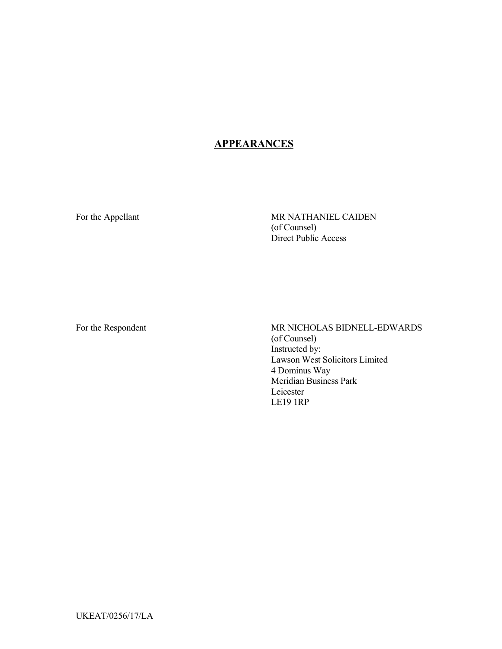## **APPEARANCES**

For the Appellant MR NATHANIEL CAIDEN (of Counsel) Direct Public Access

For the Respondent MR NICHOLAS BIDNELL-EDWARDS (of Counsel) Instructed by: Lawson West Solicitors Limited 4 Dominus Way Meridian Business Park Leicester LE19 1RP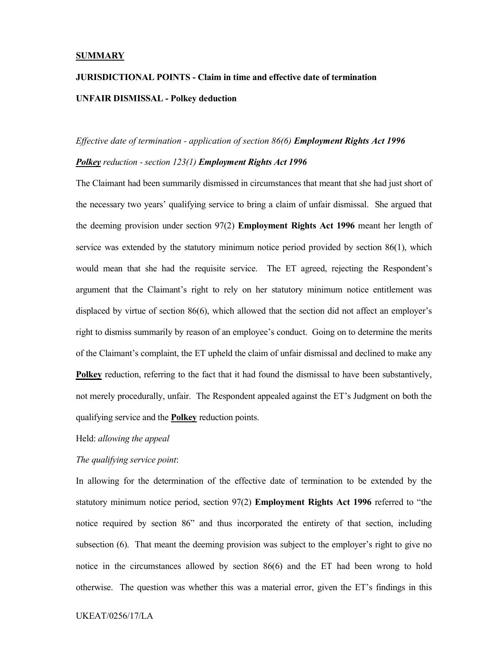#### **SUMMARY**

# JURISDICTIONAL POINTS - Claim in time and effective date of termination UNFAIR DISMISSAL - Polkey deduction

#### Effective date of termination - application of section 86(6) Employment Rights Act 1996

#### Polkey reduction - section 123(1) Employment Rights Act 1996

The Claimant had been summarily dismissed in circumstances that meant that she had just short of the necessary two years' qualifying service to bring a claim of unfair dismissal. She argued that the deeming provision under section 97(2) Employment Rights Act 1996 meant her length of service was extended by the statutory minimum notice period provided by section 86(1), which would mean that she had the requisite service. The ET agreed, rejecting the Respondent's argument that the Claimant's right to rely on her statutory minimum notice entitlement was displaced by virtue of section 86(6), which allowed that the section did not affect an employer's right to dismiss summarily by reason of an employee's conduct. Going on to determine the merits of the Claimant's complaint, the ET upheld the claim of unfair dismissal and declined to make any Polkey reduction, referring to the fact that it had found the dismissal to have been substantively, not merely procedurally, unfair. The Respondent appealed against the ET's Judgment on both the qualifying service and the Polkey reduction points.

#### Held: allowing the appeal

#### The qualifying service point:

In allowing for the determination of the effective date of termination to be extended by the statutory minimum notice period, section 97(2) Employment Rights Act 1996 referred to "the notice required by section 86" and thus incorporated the entirety of that section, including subsection (6). That meant the deeming provision was subject to the employer's right to give no notice in the circumstances allowed by section 86(6) and the ET had been wrong to hold otherwise. The question was whether this was a material error, given the ET's findings in this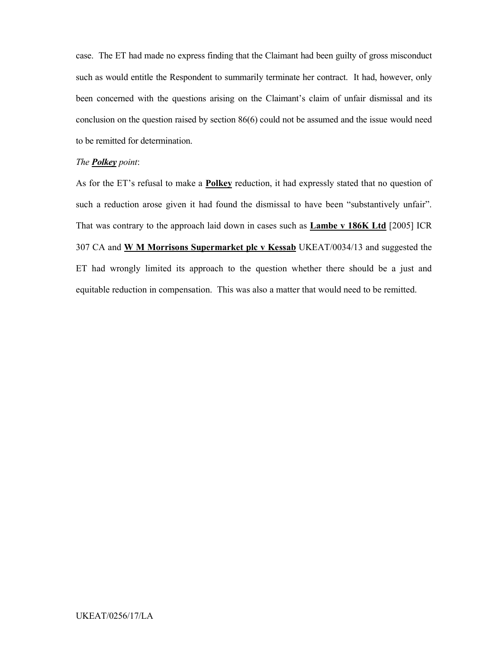case. The ET had made no express finding that the Claimant had been guilty of gross misconduct such as would entitle the Respondent to summarily terminate her contract. It had, however, only been concerned with the questions arising on the Claimant's claim of unfair dismissal and its conclusion on the question raised by section 86(6) could not be assumed and the issue would need to be remitted for determination.

#### The **Polkey** point:

As for the ET's refusal to make a **Polkey** reduction, it had expressly stated that no question of such a reduction arose given it had found the dismissal to have been "substantively unfair". That was contrary to the approach laid down in cases such as Lambe v 186K Ltd [2005] ICR 307 CA and W M Morrisons Supermarket plc v Kessab UKEAT/0034/13 and suggested the ET had wrongly limited its approach to the question whether there should be a just and equitable reduction in compensation. This was also a matter that would need to be remitted.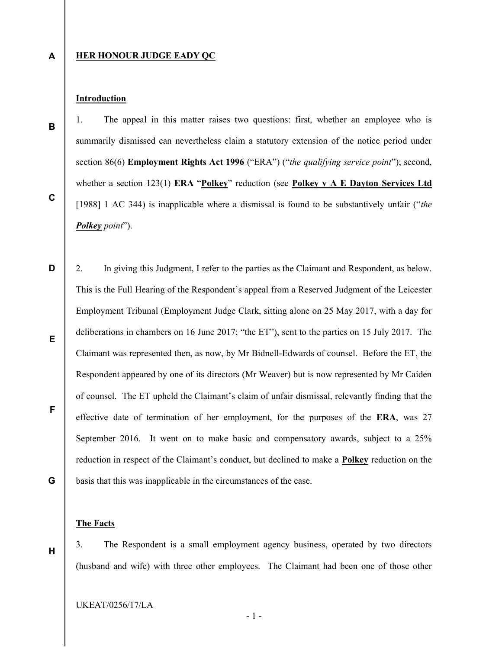A

B

C

### HER HONOUR JUDGE EADY QC

## Introduction

1. The appeal in this matter raises two questions: first, whether an employee who is summarily dismissed can nevertheless claim a statutory extension of the notice period under section 86(6) **Employment Rights Act 1996** ("ERA") ("the qualifying service point"); second, whether a section 123(1) ERA "Polkey" reduction (see Polkey v  $A E$  Dayton Services Ltd [1988] 1 AC 344) is inapplicable where a dismissal is found to be substantively unfair ("the Polkey point").

D E F G 2. In giving this Judgment, I refer to the parties as the Claimant and Respondent, as below. This is the Full Hearing of the Respondent's appeal from a Reserved Judgment of the Leicester Employment Tribunal (Employment Judge Clark, sitting alone on 25 May 2017, with a day for deliberations in chambers on 16 June 2017; "the ET"), sent to the parties on 15 July 2017. The Claimant was represented then, as now, by Mr Bidnell-Edwards of counsel. Before the ET, the Respondent appeared by one of its directors (Mr Weaver) but is now represented by Mr Caiden of counsel. The ET upheld the Claimant's claim of unfair dismissal, relevantly finding that the effective date of termination of her employment, for the purposes of the ERA, was 27 September 2016. It went on to make basic and compensatory awards, subject to a 25% reduction in respect of the Claimant's conduct, but declined to make a **Polkey** reduction on the basis that this was inapplicable in the circumstances of the case.

## The Facts

H

3. The Respondent is a small employment agency business, operated by two directors (husband and wife) with three other employees. The Claimant had been one of those other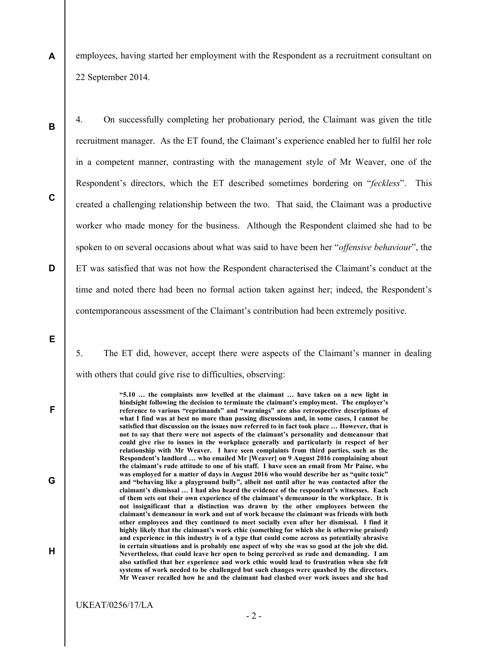A employees, having started her employment with the Respondent as a recruitment consultant on 22 September 2014.

B

C

D

4. On successfully completing her probationary period, the Claimant was given the title recruitment manager. As the ET found, the Claimant's experience enabled her to fulfil her role in a competent manner, contrasting with the management style of Mr Weaver, one of the Respondent's directors, which the ET described sometimes bordering on "feckless". This created a challenging relationship between the two. That said, the Claimant was a productive worker who made money for the business. Although the Respondent claimed she had to be spoken to on several occasions about what was said to have been her "*offensive behaviour*", the ET was satisfied that was not how the Respondent characterised the Claimant's conduct at the time and noted there had been no formal action taken against her; indeed, the Respondent's contemporaneous assessment of the Claimant's contribution had been extremely positive.

E

F

G

H

5. The ET did, however, accept there were aspects of the Claimant's manner in dealing with others that could give rise to difficulties, observing:

> "5.10 … the complaints now levelled at the claimant … have taken on a new light in hindsight following the decision to terminate the claimant's employment. The employer's reference to various "reprimands" and "warnings" are also retrospective descriptions of what I find was at best no more than passing discussions and, in some cases, I cannot be satisfied that discussion on the issues now referred to in fact took place … However, that is not to say that there were not aspects of the claimant's personality and demeanour that could give rise to issues in the workplace generally and particularly in respect of her relationship with Mr Weaver. I have seen complaints from third parties, such as the Respondent's landlord … who emailed Mr [Weaver] on 9 August 2016 complaining about the claimant's rude attitude to one of his staff. I have seen an email from Mr Paine, who was employed for a matter of days in August 2016 who would describe her as "quite toxic" and "behaving like a playground bully", albeit not until after he was contacted after the claimant's dismissal … I had also heard the evidence of the respondent's witnesses. Each of them sets out their own experience of the claimant's demeanour in the workplace. It is not insignificant that a distinction was drawn by the other employees between the claimant's demeanour in work and out of work because the claimant was friends with both other employees and they continued to meet socially even after her dismissal. I find it highly likely that the claimant's work ethic (something for which she is otherwise praised) and experience in this industry is of a type that could come across as potentially abrasive in certain situations and is probably one aspect of why she was so good at the job she did. Nevertheless, that could leave her open to being perceived as rude and demanding. I am also satisfied that her experience and work ethic would lead to frustration when she felt systems of work needed to be challenged but such changes were quashed by the directors. Mr Weaver recalled how he and the claimant had clashed over work issues and she had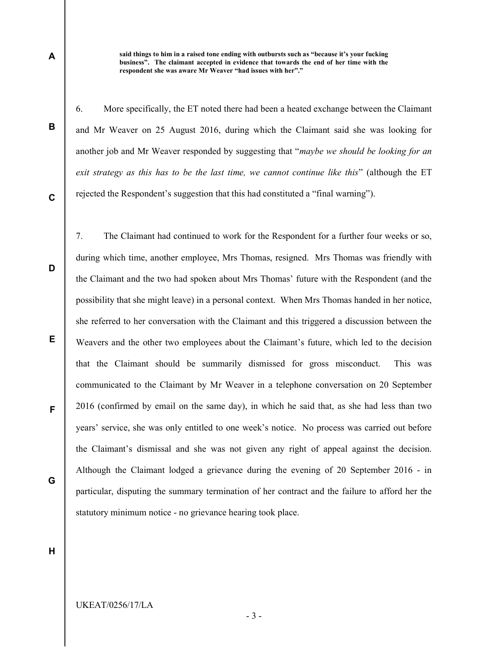said things to him in a raised tone ending with outbursts such as "because it's your fucking business". The claimant accepted in evidence that towards the end of her time with the respondent she was aware Mr Weaver "had issues with her"."

6. More specifically, the ET noted there had been a heated exchange between the Claimant and Mr Weaver on 25 August 2016, during which the Claimant said she was looking for another job and Mr Weaver responded by suggesting that "*maybe we should be looking for an* exit strategy as this has to be the last time, we cannot continue like this" (although the ET rejected the Respondent's suggestion that this had constituted a "final warning").

C

D

E

F

B

A

7. The Claimant had continued to work for the Respondent for a further four weeks or so, during which time, another employee, Mrs Thomas, resigned. Mrs Thomas was friendly with the Claimant and the two had spoken about Mrs Thomas' future with the Respondent (and the possibility that she might leave) in a personal context. When Mrs Thomas handed in her notice, she referred to her conversation with the Claimant and this triggered a discussion between the Weavers and the other two employees about the Claimant's future, which led to the decision that the Claimant should be summarily dismissed for gross misconduct. This was communicated to the Claimant by Mr Weaver in a telephone conversation on 20 September 2016 (confirmed by email on the same day), in which he said that, as she had less than two years' service, she was only entitled to one week's notice. No process was carried out before the Claimant's dismissal and she was not given any right of appeal against the decision. Although the Claimant lodged a grievance during the evening of 20 September 2016 - in particular, disputing the summary termination of her contract and the failure to afford her the statutory minimum notice - no grievance hearing took place.

H

G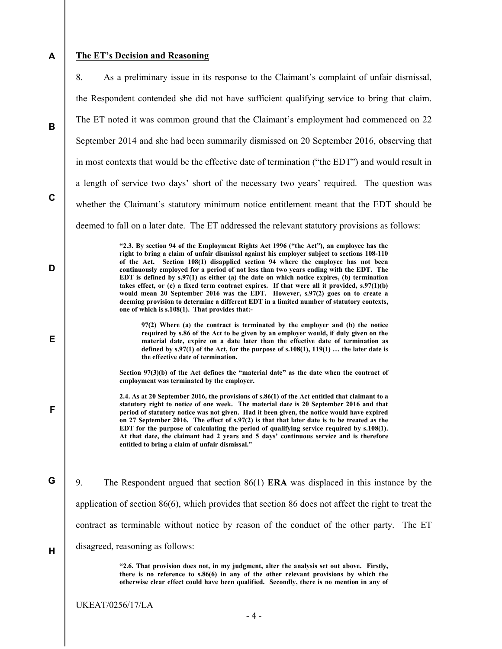## A

## The ET's Decision and Reasoning

|             | 8.<br>As a preliminary issue in its response to the Claimant's complaint of unfair dismissal,                                                                                                                                                                                                                                                                                                                                                                                                                                                                                                                                                                                                                                                                                                         |
|-------------|-------------------------------------------------------------------------------------------------------------------------------------------------------------------------------------------------------------------------------------------------------------------------------------------------------------------------------------------------------------------------------------------------------------------------------------------------------------------------------------------------------------------------------------------------------------------------------------------------------------------------------------------------------------------------------------------------------------------------------------------------------------------------------------------------------|
|             | the Respondent contended she did not have sufficient qualifying service to bring that claim.                                                                                                                                                                                                                                                                                                                                                                                                                                                                                                                                                                                                                                                                                                          |
| B           | The ET noted it was common ground that the Claimant's employment had commenced on 22                                                                                                                                                                                                                                                                                                                                                                                                                                                                                                                                                                                                                                                                                                                  |
|             | September 2014 and she had been summarily dismissed on 20 September 2016, observing that                                                                                                                                                                                                                                                                                                                                                                                                                                                                                                                                                                                                                                                                                                              |
|             | in most contexts that would be the effective date of termination ("the EDT") and would result in                                                                                                                                                                                                                                                                                                                                                                                                                                                                                                                                                                                                                                                                                                      |
|             | a length of service two days' short of the necessary two years' required. The question was                                                                                                                                                                                                                                                                                                                                                                                                                                                                                                                                                                                                                                                                                                            |
| $\mathbf c$ | whether the Claimant's statutory minimum notice entitlement meant that the EDT should be                                                                                                                                                                                                                                                                                                                                                                                                                                                                                                                                                                                                                                                                                                              |
|             | deemed to fall on a later date. The ET addressed the relevant statutory provisions as follows:                                                                                                                                                                                                                                                                                                                                                                                                                                                                                                                                                                                                                                                                                                        |
| D           | "2.3. By section 94 of the Employment Rights Act 1996 ("the Act"), an employee has the<br>right to bring a claim of unfair dismissal against his employer subject to sections 108-110<br>of the Act. Section 108(1) disapplied section 94 where the employee has not been<br>continuously employed for a period of not less than two years ending with the EDT. The<br>EDT is defined by $s.97(1)$ as either (a) the date on which notice expires, (b) termination<br>takes effect, or (c) a fixed term contract expires. If that were all it provided, $s.97(1)(b)$<br>would mean 20 September 2016 was the EDT. However, s.97(2) goes on to create a<br>deeming provision to determine a different EDT in a limited number of statutory contexts,<br>one of which is s.108(1). That provides that:- |
| Е           | $97(2)$ Where (a) the contract is terminated by the employer and (b) the notice<br>required by s.86 of the Act to be given by an employer would, if duly given on the<br>material date, expire on a date later than the effective date of termination as<br>defined by $s.97(1)$ of the Act, for the purpose of $s.108(1), 119(1)$ the later date is<br>the effective date of termination.                                                                                                                                                                                                                                                                                                                                                                                                            |
|             | Section 97(3)(b) of the Act defines the "material date" as the date when the contract of<br>employment was terminated by the employer.                                                                                                                                                                                                                                                                                                                                                                                                                                                                                                                                                                                                                                                                |
| F           | 2.4. As at 20 September 2016, the provisions of s.86(1) of the Act entitled that claimant to a<br>statutory right to notice of one week. The material date is 20 September 2016 and that<br>period of statutory notice was not given. Had it been given, the notice would have expired<br>on 27 September 2016. The effect of s.97(2) is that that later date is to be treated as the<br>EDT for the purpose of calculating the period of qualifying service required by s.108(1).<br>At that date, the claimant had 2 years and 5 days' continuous service and is therefore<br>entitled to bring a claim of unfair dismissal."                                                                                                                                                                       |
| G           | 9.<br>The Respondent argued that section $86(1)$ ERA was displaced in this instance by the                                                                                                                                                                                                                                                                                                                                                                                                                                                                                                                                                                                                                                                                                                            |
|             | application of section $86(6)$ , which provides that section 86 does not affect the right to treat the                                                                                                                                                                                                                                                                                                                                                                                                                                                                                                                                                                                                                                                                                                |
|             | contract as terminable without notice by reason of the conduct of the other party.<br>The ET                                                                                                                                                                                                                                                                                                                                                                                                                                                                                                                                                                                                                                                                                                          |
| Н           | disagreed, reasoning as follows:                                                                                                                                                                                                                                                                                                                                                                                                                                                                                                                                                                                                                                                                                                                                                                      |
|             | "2.6. That provision does not, in my judgment, alter the analysis set out above. Firstly,<br>there is no reference to s.86(6) in any of the other relevant provisions by which the<br>otherwise clear effect could have been qualified. Secondly, there is no mention in any of                                                                                                                                                                                                                                                                                                                                                                                                                                                                                                                       |
|             | <b>UKEAT/0256/17/LA</b><br>$-4-$                                                                                                                                                                                                                                                                                                                                                                                                                                                                                                                                                                                                                                                                                                                                                                      |
|             |                                                                                                                                                                                                                                                                                                                                                                                                                                                                                                                                                                                                                                                                                                                                                                                                       |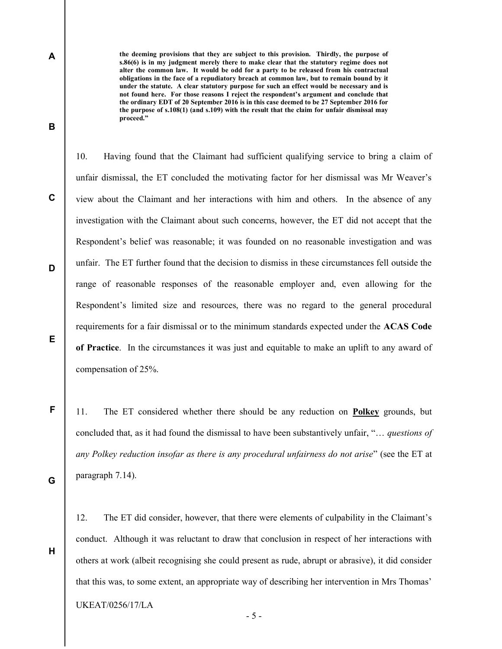the deeming provisions that they are subject to this provision. Thirdly, the purpose of s.86(6) is in my judgment merely there to make clear that the statutory regime does not alter the common law. It would be odd for a party to be released from his contractual obligations in the face of a repudiatory breach at common law, but to remain bound by it under the statute. A clear statutory purpose for such an effect would be necessary and is not found here. For those reasons I reject the respondent's argument and conclude that the ordinary EDT of 20 September 2016 is in this case deemed to be 27 September 2016 for the purpose of s.108(1) (and s.109) with the result that the claim for unfair dismissal may proceed."

10. Having found that the Claimant had sufficient qualifying service to bring a claim of unfair dismissal, the ET concluded the motivating factor for her dismissal was Mr Weaver's view about the Claimant and her interactions with him and others. In the absence of any investigation with the Claimant about such concerns, however, the ET did not accept that the Respondent's belief was reasonable; it was founded on no reasonable investigation and was unfair. The ET further found that the decision to dismiss in these circumstances fell outside the range of reasonable responses of the reasonable employer and, even allowing for the Respondent's limited size and resources, there was no regard to the general procedural requirements for a fair dismissal or to the minimum standards expected under the ACAS Code of Practice. In the circumstances it was just and equitable to make an uplift to any award of compensation of 25%.

11. The ET considered whether there should be any reduction on Polkey grounds, but concluded that, as it had found the dismissal to have been substantively unfair, "… questions of any Polkey reduction insofar as there is any procedural unfairness do not arise" (see the ET at paragraph 7.14).

12. The ET did consider, however, that there were elements of culpability in the Claimant's conduct. Although it was reluctant to draw that conclusion in respect of her interactions with others at work (albeit recognising she could present as rude, abrupt or abrasive), it did consider that this was, to some extent, an appropriate way of describing her intervention in Mrs Thomas'

UKEAT/0256/17/LA

C

D

A

B

E

F

G

H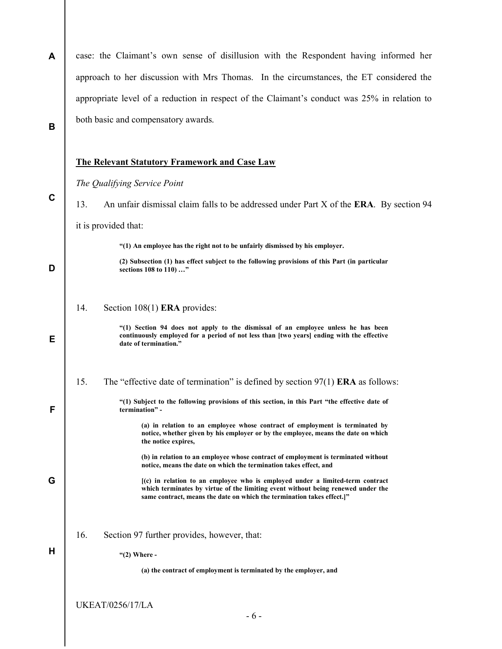| A | case: the Claimant's own sense of disillusion with the Respondent having informed her                                                                                                                                                      |
|---|--------------------------------------------------------------------------------------------------------------------------------------------------------------------------------------------------------------------------------------------|
|   | approach to her discussion with Mrs Thomas. In the circumstances, the ET considered the                                                                                                                                                    |
|   | appropriate level of a reduction in respect of the Claimant's conduct was 25% in relation to                                                                                                                                               |
| B | both basic and compensatory awards.                                                                                                                                                                                                        |
|   | <b>The Relevant Statutory Framework and Case Law</b>                                                                                                                                                                                       |
|   | The Qualifying Service Point                                                                                                                                                                                                               |
| C | 13.<br>An unfair dismissal claim falls to be addressed under Part X of the <b>ERA</b> . By section 94                                                                                                                                      |
|   | it is provided that:                                                                                                                                                                                                                       |
|   | "(1) An employee has the right not to be unfairly dismissed by his employer.                                                                                                                                                               |
| D | (2) Subsection (1) has effect subject to the following provisions of this Part (in particular<br>sections 108 to 110)"                                                                                                                     |
|   | 14.<br>Section $108(1)$ ERA provides:                                                                                                                                                                                                      |
| Е | "(1) Section 94 does not apply to the dismissal of an employee unless he has been<br>continuously employed for a period of not less than [two years] ending with the effective<br>date of termination."                                    |
|   | The "effective date of termination" is defined by section $97(1)$ ERA as follows:<br>15.                                                                                                                                                   |
| F | "(1) Subject to the following provisions of this section, in this Part "the effective date of<br>termination" -                                                                                                                            |
|   | (a) in relation to an employee whose contract of employment is terminated by<br>notice, whether given by his employer or by the employee, means the date on which<br>the notice expires,                                                   |
|   | (b) in relation to an employee whose contract of employment is terminated without<br>notice, means the date on which the termination takes effect, and                                                                                     |
| G | (c) in relation to an employee who is employed under a limited-term contract<br>which terminates by virtue of the limiting event without being renewed under the<br>same contract, means the date on which the termination takes effect.]" |
|   | 16.<br>Section 97 further provides, however, that:                                                                                                                                                                                         |
| н | " $(2)$ Where -                                                                                                                                                                                                                            |
|   | (a) the contract of employment is terminated by the employer, and                                                                                                                                                                          |
|   |                                                                                                                                                                                                                                            |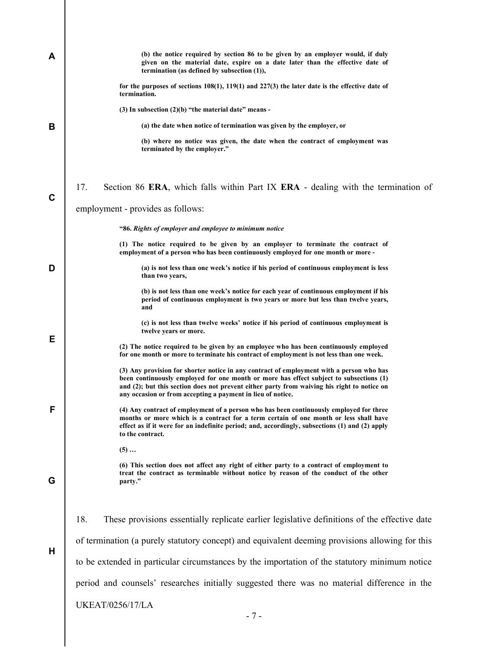| A | (b) the notice required by section 86 to be given by an employer would, if duly<br>given on the material date, expire on a date later than the effective date of<br>termination (as defined by subsection $(1)$ ),                                                                                                                               |
|---|--------------------------------------------------------------------------------------------------------------------------------------------------------------------------------------------------------------------------------------------------------------------------------------------------------------------------------------------------|
|   | for the purposes of sections $108(1)$ , $119(1)$ and $227(3)$ the later date is the effective date of<br>termination.                                                                                                                                                                                                                            |
|   | $(3)$ In subsection $(2)(b)$ "the material date" means -                                                                                                                                                                                                                                                                                         |
| В | (a) the date when notice of termination was given by the employer, or                                                                                                                                                                                                                                                                            |
|   | (b) where no notice was given, the date when the contract of employment was<br>terminated by the employer."                                                                                                                                                                                                                                      |
| C | 17.<br>Section 86 ERA, which falls within Part IX ERA - dealing with the termination of                                                                                                                                                                                                                                                          |
|   | employment - provides as follows:                                                                                                                                                                                                                                                                                                                |
|   | "86. Rights of employer and employee to minimum notice                                                                                                                                                                                                                                                                                           |
|   | (1) The notice required to be given by an employer to terminate the contract of<br>employment of a person who has been continuously employed for one month or more -                                                                                                                                                                             |
| D | (a) is not less than one week's notice if his period of continuous employment is less<br>than two years,                                                                                                                                                                                                                                         |
|   | (b) is not less than one week's notice for each year of continuous employment if his<br>period of continuous employment is two years or more but less than twelve years,<br>and                                                                                                                                                                  |
|   | (c) is not less than twelve weeks' notice if his period of continuous employment is<br>twelve years or more.                                                                                                                                                                                                                                     |
| Е | (2) The notice required to be given by an employee who has been continuously employed<br>for one month or more to terminate his contract of employment is not less than one week.                                                                                                                                                                |
|   | (3) Any provision for shorter notice in any contract of employment with a person who has<br>been continuously employed for one month or more has effect subject to subsections (1)<br>and (2); but this section does not prevent either party from waiving his right to notice on<br>any occasion or from accepting a payment in lieu of notice. |
| F | (4) Any contract of employment of a person who has been continuously employed for three<br>months or more which is a contract for a term certain of one month or less shall have<br>effect as if it were for an indefinite period; and, accordingly, subsections (1) and (2) apply<br>to the contract.                                           |
|   | $(5)$                                                                                                                                                                                                                                                                                                                                            |
| G | (6) This section does not affect any right of either party to a contract of employment to<br>treat the contract as terminable without notice by reason of the conduct of the other<br>party."                                                                                                                                                    |
|   |                                                                                                                                                                                                                                                                                                                                                  |
|   | 18.<br>These provisions essentially replicate earlier legislative definitions of the effective date                                                                                                                                                                                                                                              |
| Н | of termination (a purely statutory concept) and equivalent deeming provisions allowing for this                                                                                                                                                                                                                                                  |
|   | to be extended in particular circumstances by the importation of the statutory minimum notice                                                                                                                                                                                                                                                    |
|   | period and counsels' researches initially suggested there was no material difference in the                                                                                                                                                                                                                                                      |
|   | <b>UKEAT/0256/17/LA</b>                                                                                                                                                                                                                                                                                                                          |
|   | $-7-$                                                                                                                                                                                                                                                                                                                                            |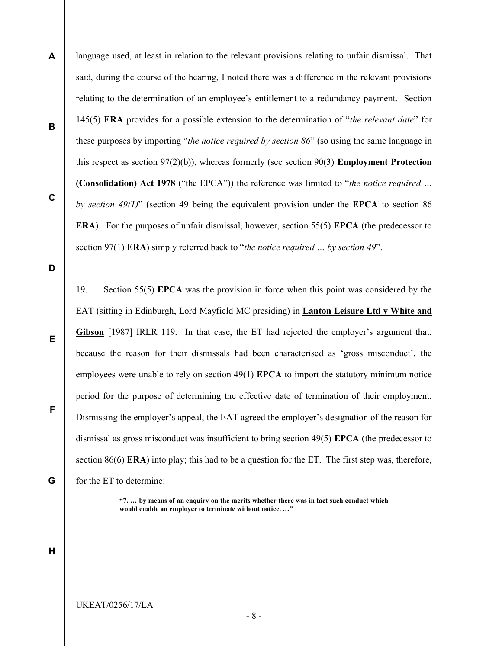A B C language used, at least in relation to the relevant provisions relating to unfair dismissal. That said, during the course of the hearing, I noted there was a difference in the relevant provisions relating to the determination of an employee's entitlement to a redundancy payment. Section 145(5) ERA provides for a possible extension to the determination of "*the relevant date*" for these purposes by importing "*the notice required by section 86*" (so using the same language in this respect as section  $97(2)(b)$ ), whereas formerly (see section  $90(3)$  **Employment Protection** (Consolidation) Act 1978 ("the EPCA")) the reference was limited to "the notice required ... by section 49(1)" (section 49 being the equivalent provision under the EPCA to section 86 ERA). For the purposes of unfair dismissal, however, section 55(5) EPCA (the predecessor to section 97(1) **ERA**) simply referred back to "the notice required ... by section 49".

D

E

F

G

19. Section 55(5) EPCA was the provision in force when this point was considered by the EAT (sitting in Edinburgh, Lord Mayfield MC presiding) in Lanton Leisure Ltd v White and Gibson [1987] IRLR 119. In that case, the ET had rejected the employer's argument that, because the reason for their dismissals had been characterised as 'gross misconduct', the employees were unable to rely on section 49(1) EPCA to import the statutory minimum notice period for the purpose of determining the effective date of termination of their employment. Dismissing the employer's appeal, the EAT agreed the employer's designation of the reason for dismissal as gross misconduct was insufficient to bring section 49(5) EPCA (the predecessor to section 86(6) **ERA**) into play; this had to be a question for the ET. The first step was, therefore, for the ET to determine:

> "7. … by means of an enquiry on the merits whether there was in fact such conduct which would enable an employer to terminate without notice. ..."

H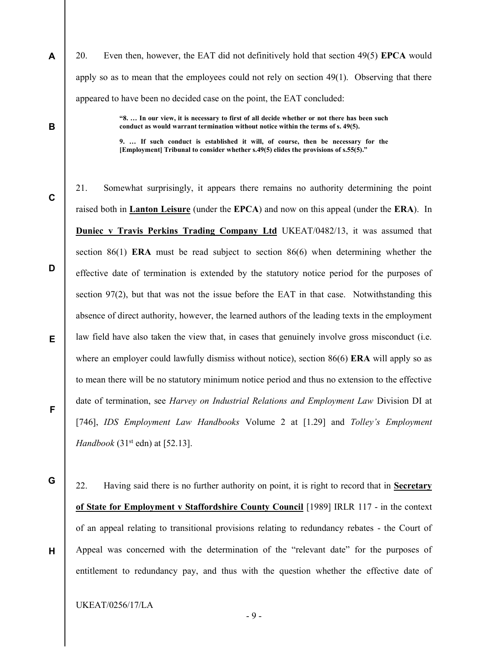20. Even then, however, the EAT did not definitively hold that section 49(5) EPCA would apply so as to mean that the employees could not rely on section 49(1). Observing that there appeared to have been no decided case on the point, the EAT concluded:

> "8. … In our view, it is necessary to first of all decide whether or not there has been such conduct as would warrant termination without notice within the terms of s. 49(5).

> 9. … If such conduct is established it will, of course, then be necessary for the [Employment] Tribunal to consider whether s.49(5) elides the provisions of s.55(5)."

D E 21. Somewhat surprisingly, it appears there remains no authority determining the point raised both in Lanton Leisure (under the EPCA) and now on this appeal (under the ERA). In Duniec v Travis Perkins Trading Company Ltd UKEAT/0482/13, it was assumed that section 86(1) ERA must be read subject to section 86(6) when determining whether the effective date of termination is extended by the statutory notice period for the purposes of section 97(2), but that was not the issue before the EAT in that case. Notwithstanding this absence of direct authority, however, the learned authors of the leading texts in the employment law field have also taken the view that, in cases that genuinely involve gross misconduct (i.e. where an employer could lawfully dismiss without notice), section 86(6) **ERA** will apply so as to mean there will be no statutory minimum notice period and thus no extension to the effective date of termination, see Harvey on Industrial Relations and Employment Law Division DI at [746], *IDS Employment Law Handbooks* Volume 2 at [1.29] and *Tolley's Employment* Handbook  $(31<sup>st</sup>$  edn) at [52.13].

G

H

F

A

B

C

22. Having said there is no further authority on point, it is right to record that in Secretary of State for Employment v Staffordshire County Council [1989] IRLR 117 - in the context of an appeal relating to transitional provisions relating to redundancy rebates - the Court of Appeal was concerned with the determination of the "relevant date" for the purposes of entitlement to redundancy pay, and thus with the question whether the effective date of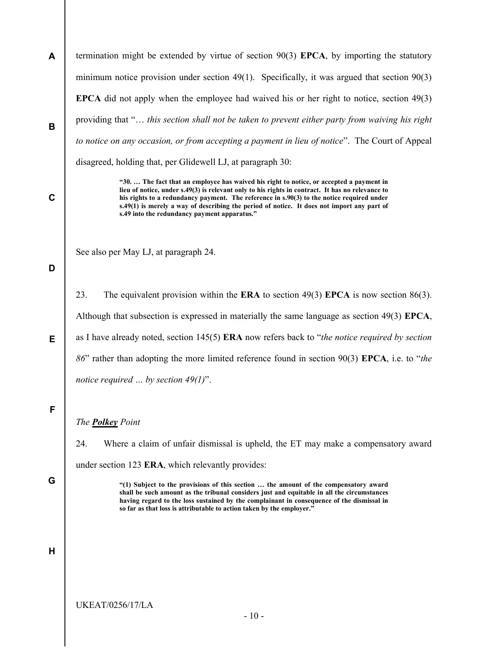A B termination might be extended by virtue of section  $90(3)$  EPCA, by importing the statutory minimum notice provision under section 49(1). Specifically, it was argued that section 90(3) EPCA did not apply when the employee had waived his or her right to notice, section 49(3) providing that "… this section shall not be taken to prevent either party from waiving his right to notice on any occasion, or from accepting a payment in lieu of notice". The Court of Appeal disagreed, holding that, per Glidewell LJ, at paragraph 30:

> "30. … The fact that an employee has waived his right to notice, or accepted a payment in lieu of notice, under s.49(3) is relevant only to his rights in contract. It has no relevance to his rights to a redundancy payment. The reference in s.90(3) to the notice required under s.49(1) is merely a way of describing the period of notice. It does not import any part of s.49 into the redundancy payment apparatus."

See also per May LJ, at paragraph 24.

## D

C

23. The equivalent provision within the **ERA** to section 49(3) **EPCA** is now section 86(3). Although that subsection is expressed in materially the same language as section 49(3) EPCA, as I have already noted, section  $145(5)$  ERA now refers back to "the notice required by section 86" rather than adopting the more limited reference found in section 90(3) EPCA, i.e. to "the notice required  $\ldots$  by section 49(1)".

## F

E

## The Polkey Point

24. Where a claim of unfair dismissal is upheld, the ET may make a compensatory award under section 123 ERA, which relevantly provides:

G

"(1) Subject to the provisions of this section … the amount of the compensatory award shall be such amount as the tribunal considers just and equitable in all the circumstances having regard to the loss sustained by the complainant in consequence of the dismissal in so far as that loss is attributable to action taken by the employer."

## H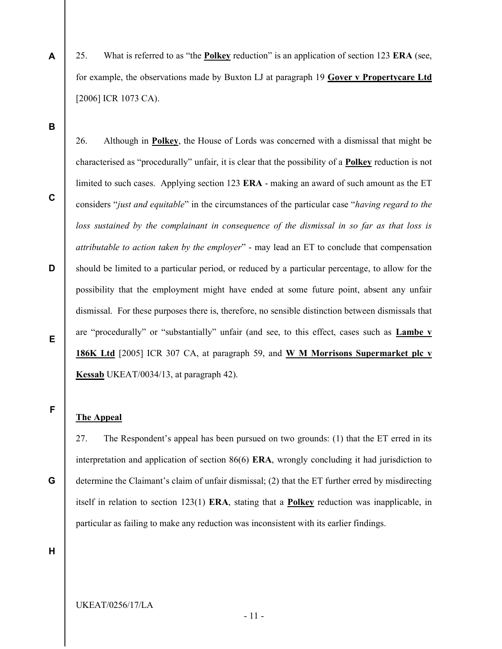- 25. What is referred to as "the Polkey reduction" is an application of section 123 ERA (see, for example, the observations made by Buxton LJ at paragraph 19 Gover v Propertycare Ltd [2006] ICR 1073 CA).
- B

A

C

D

26. Although in Polkey, the House of Lords was concerned with a dismissal that might be characterised as "procedurally" unfair, it is clear that the possibility of a Polkey reduction is not limited to such cases. Applying section 123 ERA - making an award of such amount as the ET considers "just and equitable" in the circumstances of the particular case "having regard to the loss sustained by the complainant in consequence of the dismissal in so far as that loss is attributable to action taken by the employer" - may lead an ET to conclude that compensation should be limited to a particular period, or reduced by a particular percentage, to allow for the possibility that the employment might have ended at some future point, absent any unfair dismissal. For these purposes there is, therefore, no sensible distinction between dismissals that are "procedurally" or "substantially" unfair (and see, to this effect, cases such as Lambe v 186K Ltd [2005] ICR 307 CA, at paragraph 59, and W M Morrisons Supermarket plc v Kessab UKEAT/0034/13, at paragraph 42).

# F

E

## The Appeal

27. The Respondent's appeal has been pursued on two grounds: (1) that the ET erred in its interpretation and application of section 86(6) ERA, wrongly concluding it had jurisdiction to determine the Claimant's claim of unfair dismissal; (2) that the ET further erred by misdirecting itself in relation to section  $123(1)$  ERA, stating that a **Polkey** reduction was inapplicable, in particular as failing to make any reduction was inconsistent with its earlier findings.

H

G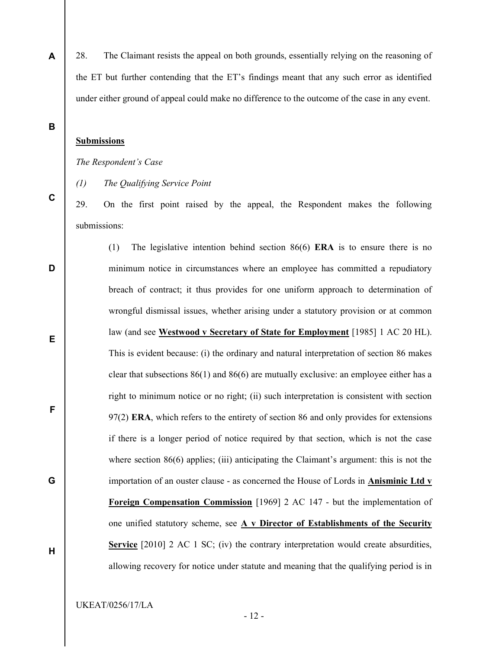28. The Claimant resists the appeal on both grounds, essentially relying on the reasoning of the ET but further contending that the ET's findings meant that any such error as identified under either ground of appeal could make no difference to the outcome of the case in any event.

B

C

D

E

F

G

H

A

## Submissions

The Respondent's Case

(1) The Qualifying Service Point

29. On the first point raised by the appeal, the Respondent makes the following submissions:

(1) The legislative intention behind section 86(6) ERA is to ensure there is no minimum notice in circumstances where an employee has committed a repudiatory breach of contract; it thus provides for one uniform approach to determination of wrongful dismissal issues, whether arising under a statutory provision or at common law (and see Westwood v Secretary of State for Employment [1985] 1 AC 20 HL). This is evident because: (i) the ordinary and natural interpretation of section 86 makes clear that subsections  $86(1)$  and  $86(6)$  are mutually exclusive: an employee either has a right to minimum notice or no right; (ii) such interpretation is consistent with section  $97(2)$  ERA, which refers to the entirety of section 86 and only provides for extensions if there is a longer period of notice required by that section, which is not the case where section 86(6) applies; (iii) anticipating the Claimant's argument: this is not the importation of an ouster clause - as concerned the House of Lords in Anisminic Ltd v Foreign Compensation Commission [1969] 2 AC 147 - but the implementation of one unified statutory scheme, see  $A \vee D$ irector of Establishments of the Security Service [2010] 2 AC 1 SC; (iv) the contrary interpretation would create absurdities, allowing recovery for notice under statute and meaning that the qualifying period is in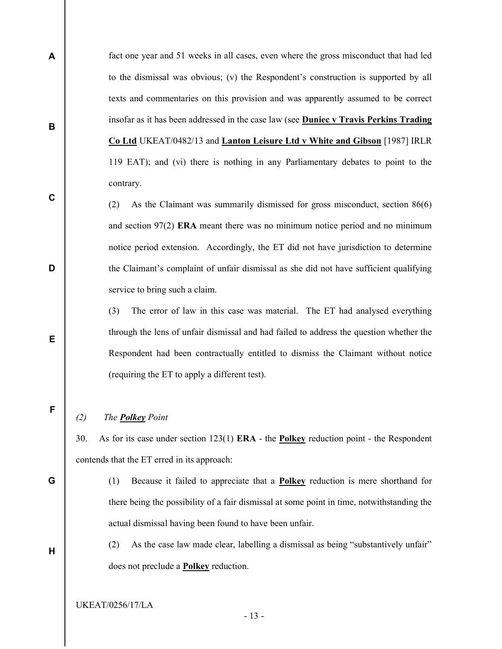fact one year and 51 weeks in all cases, even where the gross misconduct that had led to the dismissal was obvious; (v) the Respondent's construction is supported by all texts and commentaries on this provision and was apparently assumed to be correct insofar as it has been addressed in the case law (see Duniec v Travis Perkins Trading Co Ltd UKEAT/0482/13 and Lanton Leisure Ltd v White and Gibson [1987] IRLR 119 EAT); and (vi) there is nothing in any Parliamentary debates to point to the contrary.

(2) As the Claimant was summarily dismissed for gross misconduct, section 86(6) and section 97(2) ERA meant there was no minimum notice period and no minimum notice period extension. Accordingly, the ET did not have jurisdiction to determine the Claimant's complaint of unfair dismissal as she did not have sufficient qualifying service to bring such a claim.

(3) The error of law in this case was material. The ET had analysed everything through the lens of unfair dismissal and had failed to address the question whether the Respondent had been contractually entitled to dismiss the Claimant without notice (requiring the ET to apply a different test).

F

A

B

C

D

E

## (2) The **Polkey** Point

30. As for its case under section 123(1) ERA - the Polkey reduction point - the Respondent contends that the ET erred in its approach:

G

H

(1) Because it failed to appreciate that a Polkey reduction is mere shorthand for there being the possibility of a fair dismissal at some point in time, notwithstanding the actual dismissal having been found to have been unfair.

(2) As the case law made clear, labelling a dismissal as being "substantively unfair" does not preclude a Polkey reduction.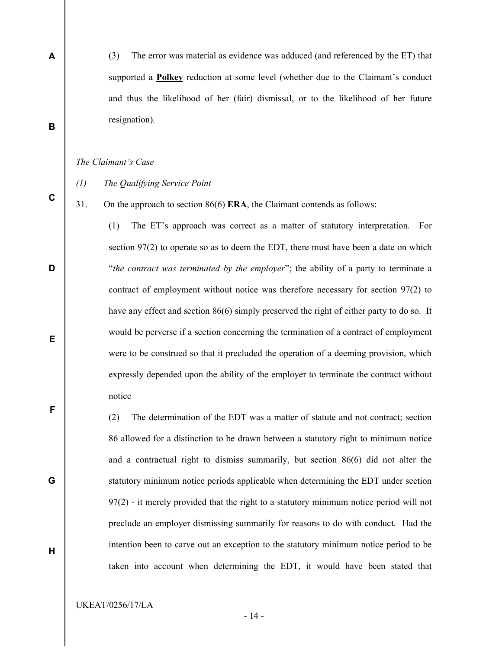(3) The error was material as evidence was adduced (and referenced by the ET) that supported a **Polkey** reduction at some level (whether due to the Claimant's conduct and thus the likelihood of her (fair) dismissal, or to the likelihood of her future resignation).

#### The Claimant's Case

A

B

C

D

E

F

G

H

- (1) The Qualifying Service Point
- 31. On the approach to section 86(6) ERA, the Claimant contends as follows:

(1) The ET's approach was correct as a matter of statutory interpretation. For section 97(2) to operate so as to deem the EDT, there must have been a date on which "the contract was terminated by the employer"; the ability of a party to terminate a contract of employment without notice was therefore necessary for section 97(2) to have any effect and section 86(6) simply preserved the right of either party to do so. It would be perverse if a section concerning the termination of a contract of employment were to be construed so that it precluded the operation of a deeming provision, which expressly depended upon the ability of the employer to terminate the contract without notice

(2) The determination of the EDT was a matter of statute and not contract; section 86 allowed for a distinction to be drawn between a statutory right to minimum notice and a contractual right to dismiss summarily, but section 86(6) did not alter the statutory minimum notice periods applicable when determining the EDT under section 97(2) - it merely provided that the right to a statutory minimum notice period will not preclude an employer dismissing summarily for reasons to do with conduct. Had the intention been to carve out an exception to the statutory minimum notice period to be taken into account when determining the EDT, it would have been stated that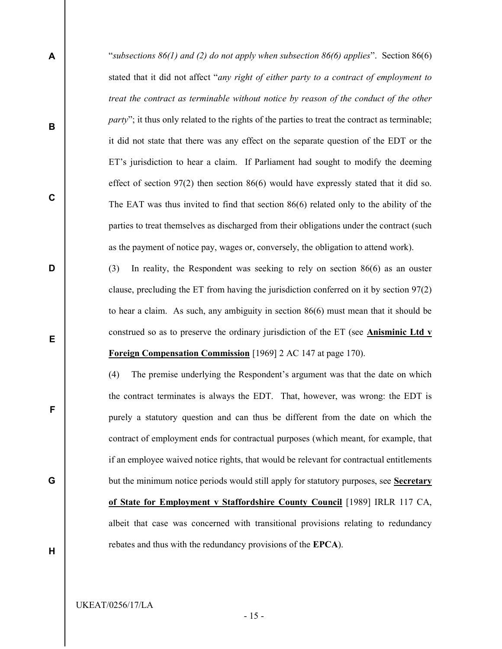- "subsections  $86(1)$  and (2) do not apply when subsection  $86(6)$  applies". Section  $86(6)$ stated that it did not affect "any right of either party to a contract of employment to treat the contract as terminable without notice by reason of the conduct of the other party"; it thus only related to the rights of the parties to treat the contract as terminable; it did not state that there was any effect on the separate question of the EDT or the ET's jurisdiction to hear a claim. If Parliament had sought to modify the deeming effect of section  $97(2)$  then section  $86(6)$  would have expressly stated that it did so. The EAT was thus invited to find that section 86(6) related only to the ability of the parties to treat themselves as discharged from their obligations under the contract (such as the payment of notice pay, wages or, conversely, the obligation to attend work).
	- (3) In reality, the Respondent was seeking to rely on section 86(6) as an ouster clause, precluding the ET from having the jurisdiction conferred on it by section 97(2) to hear a claim. As such, any ambiguity in section 86(6) must mean that it should be construed so as to preserve the ordinary jurisdiction of the ET (see Anisminic Ltd v Foreign Compensation Commission [1969] 2 AC 147 at page 170).

(4) The premise underlying the Respondent's argument was that the date on which the contract terminates is always the EDT. That, however, was wrong: the EDT is purely a statutory question and can thus be different from the date on which the contract of employment ends for contractual purposes (which meant, for example, that if an employee waived notice rights, that would be relevant for contractual entitlements but the minimum notice periods would still apply for statutory purposes, see Secretary of State for Employment v Staffordshire County Council [1989] IRLR 117 CA, albeit that case was concerned with transitional provisions relating to redundancy rebates and thus with the redundancy provisions of the EPCA).

H

A

B

C

D

E

F

G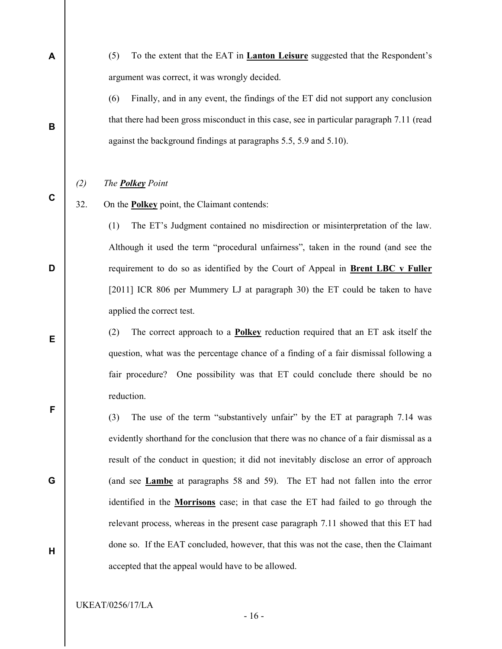(5) To the extent that the EAT in Lanton Leisure suggested that the Respondent's argument was correct, it was wrongly decided.

(6) Finally, and in any event, the findings of the ET did not support any conclusion that there had been gross misconduct in this case, see in particular paragraph 7.11 (read against the background findings at paragraphs 5.5, 5.9 and 5.10).

#### (2) The **Polkey** Point

A

B

C

D

E

F

G

H

32. On the Polkey point, the Claimant contends:

(1) The ET's Judgment contained no misdirection or misinterpretation of the law. Although it used the term "procedural unfairness", taken in the round (and see the requirement to do so as identified by the Court of Appeal in Brent LBC v Fuller [2011] ICR 806 per Mummery LJ at paragraph 30) the ET could be taken to have applied the correct test.

(2) The correct approach to a Polkey reduction required that an ET ask itself the question, what was the percentage chance of a finding of a fair dismissal following a fair procedure? One possibility was that ET could conclude there should be no reduction.

(3) The use of the term "substantively unfair" by the ET at paragraph 7.14 was evidently shorthand for the conclusion that there was no chance of a fair dismissal as a result of the conduct in question; it did not inevitably disclose an error of approach (and see Lambe at paragraphs 58 and 59). The ET had not fallen into the error identified in the Morrisons case; in that case the ET had failed to go through the relevant process, whereas in the present case paragraph 7.11 showed that this ET had done so. If the EAT concluded, however, that this was not the case, then the Claimant accepted that the appeal would have to be allowed.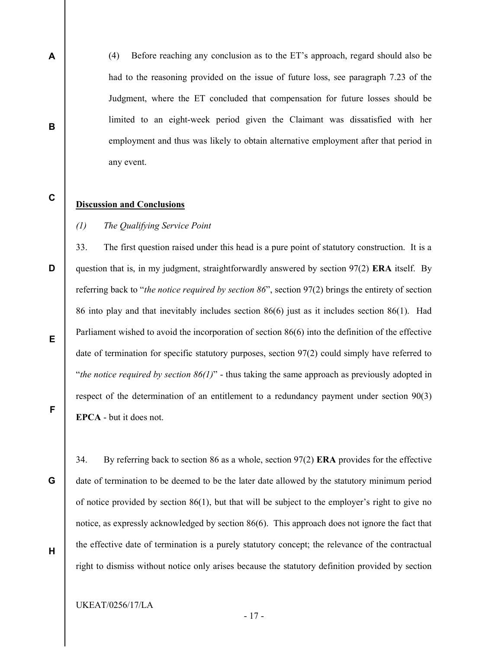(4) Before reaching any conclusion as to the ET's approach, regard should also be had to the reasoning provided on the issue of future loss, see paragraph 7.23 of the Judgment, where the ET concluded that compensation for future losses should be limited to an eight-week period given the Claimant was dissatisfied with her employment and thus was likely to obtain alternative employment after that period in any event.

## Discussion and Conclusions

A

B

C

D

E

F

G

H

## (1) The Qualifying Service Point

33. The first question raised under this head is a pure point of statutory construction. It is a question that is, in my judgment, straightforwardly answered by section  $97(2)$  ERA itself. By referring back to "the notice required by section  $86$ ", section  $97(2)$  brings the entirety of section 86 into play and that inevitably includes section 86(6) just as it includes section 86(1). Had Parliament wished to avoid the incorporation of section 86(6) into the definition of the effective date of termination for specific statutory purposes, section 97(2) could simply have referred to "the notice required by section  $86(1)$ " - thus taking the same approach as previously adopted in respect of the determination of an entitlement to a redundancy payment under section 90(3) EPCA - but it does not.

34. By referring back to section 86 as a whole, section 97(2) ERA provides for the effective date of termination to be deemed to be the later date allowed by the statutory minimum period of notice provided by section 86(1), but that will be subject to the employer's right to give no notice, as expressly acknowledged by section 86(6). This approach does not ignore the fact that the effective date of termination is a purely statutory concept; the relevance of the contractual right to dismiss without notice only arises because the statutory definition provided by section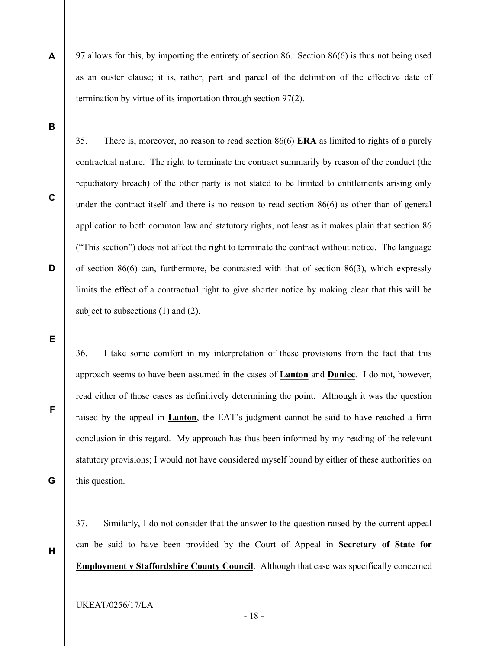97 allows for this, by importing the entirety of section 86. Section 86(6) is thus not being used as an ouster clause; it is, rather, part and parcel of the definition of the effective date of termination by virtue of its importation through section 97(2).

35. There is, moreover, no reason to read section 86(6) ERA as limited to rights of a purely

B

A

C

D

contractual nature. The right to terminate the contract summarily by reason of the conduct (the repudiatory breach) of the other party is not stated to be limited to entitlements arising only under the contract itself and there is no reason to read section 86(6) as other than of general application to both common law and statutory rights, not least as it makes plain that section 86 ("This section") does not affect the right to terminate the contract without notice. The language of section  $86(6)$  can, furthermore, be contrasted with that of section  $86(3)$ , which expressly limits the effect of a contractual right to give shorter notice by making clear that this will be subject to subsections (1) and (2).

E

F

G

36. I take some comfort in my interpretation of these provisions from the fact that this approach seems to have been assumed in the cases of Lanton and Duniec. I do not, however, read either of those cases as definitively determining the point. Although it was the question raised by the appeal in Lanton, the EAT's judgment cannot be said to have reached a firm conclusion in this regard. My approach has thus been informed by my reading of the relevant statutory provisions; I would not have considered myself bound by either of these authorities on this question.

37. Similarly, I do not consider that the answer to the question raised by the current appeal can be said to have been provided by the Court of Appeal in Secretary of State for Employment v Staffordshire County Council. Although that case was specifically concerned

H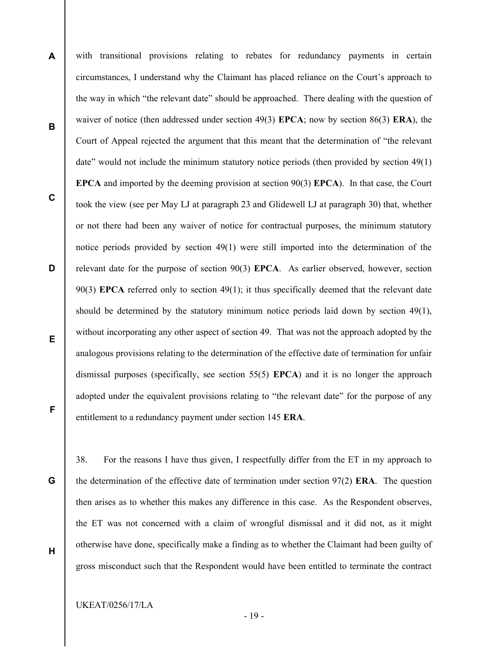A B C D E F with transitional provisions relating to rebates for redundancy payments in certain circumstances, I understand why the Claimant has placed reliance on the Court's approach to the way in which "the relevant date" should be approached. There dealing with the question of waiver of notice (then addressed under section 49(3) EPCA; now by section 86(3) ERA), the Court of Appeal rejected the argument that this meant that the determination of "the relevant date" would not include the minimum statutory notice periods (then provided by section 49(1) EPCA and imported by the deeming provision at section 90(3) EPCA). In that case, the Court took the view (see per May LJ at paragraph 23 and Glidewell LJ at paragraph 30) that, whether or not there had been any waiver of notice for contractual purposes, the minimum statutory notice periods provided by section 49(1) were still imported into the determination of the relevant date for the purpose of section 90(3) EPCA. As earlier observed, however, section 90(3) EPCA referred only to section 49(1); it thus specifically deemed that the relevant date should be determined by the statutory minimum notice periods laid down by section 49(1), without incorporating any other aspect of section 49. That was not the approach adopted by the analogous provisions relating to the determination of the effective date of termination for unfair dismissal purposes (specifically, see section 55(5) EPCA) and it is no longer the approach adopted under the equivalent provisions relating to "the relevant date" for the purpose of any entitlement to a redundancy payment under section 145 ERA.

G

H

38. For the reasons I have thus given, I respectfully differ from the ET in my approach to the determination of the effective date of termination under section  $97(2)$  **ERA**. The question then arises as to whether this makes any difference in this case. As the Respondent observes, the ET was not concerned with a claim of wrongful dismissal and it did not, as it might otherwise have done, specifically make a finding as to whether the Claimant had been guilty of gross misconduct such that the Respondent would have been entitled to terminate the contract

UKEAT/0256/17/LA

- 19 -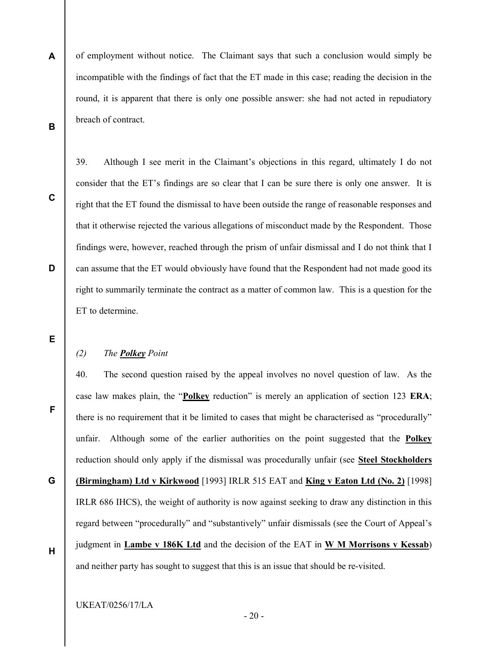A B of employment without notice. The Claimant says that such a conclusion would simply be incompatible with the findings of fact that the ET made in this case; reading the decision in the round, it is apparent that there is only one possible answer: she had not acted in repudiatory breach of contract.

C

consider that the ET's findings are so clear that I can be sure there is only one answer. It is right that the ET found the dismissal to have been outside the range of reasonable responses and that it otherwise rejected the various allegations of misconduct made by the Respondent. Those findings were, however, reached through the prism of unfair dismissal and I do not think that I can assume that the ET would obviously have found that the Respondent had not made good its right to summarily terminate the contract as a matter of common law. This is a question for the ET to determine.

39. Although I see merit in the Claimant's objections in this regard, ultimately I do not

E

F

G

D

## (2) The **Polkey** Point

40. The second question raised by the appeal involves no novel question of law. As the case law makes plain, the "Polkey reduction" is merely an application of section 123 ERA; there is no requirement that it be limited to cases that might be characterised as "procedurally" unfair. Although some of the earlier authorities on the point suggested that the Polkey reduction should only apply if the dismissal was procedurally unfair (see Steel Stockholders (Birmingham) Ltd v Kirkwood [1993] IRLR 515 EAT and King v Eaton Ltd (No. 2) [1998] IRLR 686 IHCS), the weight of authority is now against seeking to draw any distinction in this

H

regard between "procedurally" and "substantively" unfair dismissals (see the Court of Appeal's judgment in Lambe v 186K Ltd and the decision of the EAT in W M Morrisons v Kessab) and neither party has sought to suggest that this is an issue that should be re-visited.